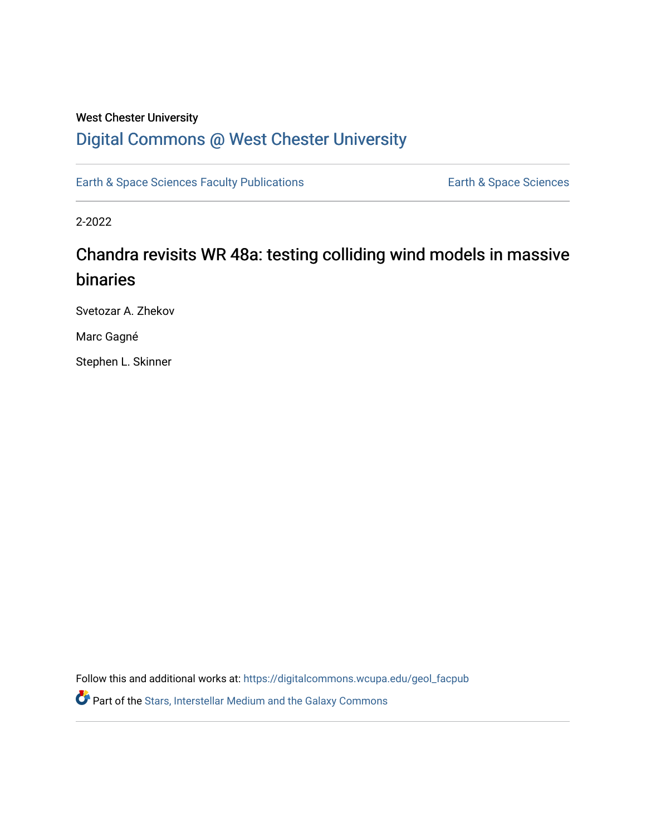### West Chester University

## [Digital Commons @ West Chester University](https://digitalcommons.wcupa.edu/)

[Earth & Space Sciences Faculty Publications](https://digitalcommons.wcupa.edu/geol_facpub) **Earth & Space Sciences** 

2-2022

# Chandra revisits WR 48a: testing colliding wind models in massive binaries

Svetozar A. Zhekov

Marc Gagné

Stephen L. Skinner

Follow this and additional works at: [https://digitalcommons.wcupa.edu/geol\\_facpub](https://digitalcommons.wcupa.edu/geol_facpub?utm_source=digitalcommons.wcupa.edu%2Fgeol_facpub%2F25&utm_medium=PDF&utm_campaign=PDFCoverPages) 

Part of the [Stars, Interstellar Medium and the Galaxy Commons](http://network.bepress.com/hgg/discipline/127?utm_source=digitalcommons.wcupa.edu%2Fgeol_facpub%2F25&utm_medium=PDF&utm_campaign=PDFCoverPages)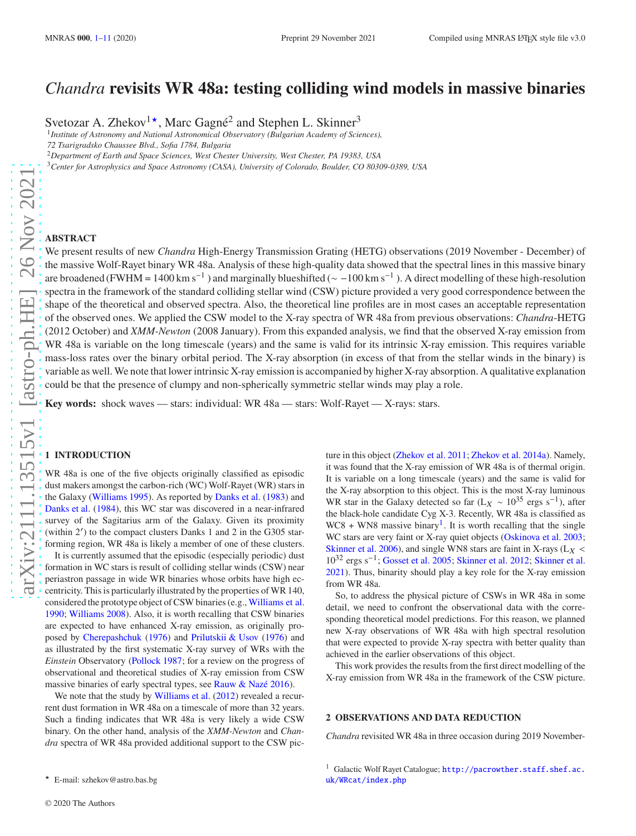## *Chandra* **revisits WR 48a: testing colliding wind models in massive binaries**

Svetozar A. Zhekov<sup>1\*</sup>, Marc Gagné<sup>2</sup> and Stephen L. Skinner<sup>3</sup>

1 *Institute of Astronomy and National Astronomical Observatory (Bulgarian Academy of Sciences),*

*72 Tsarigradsko Chaussee Blvd., Sofia 1784, Bulgaria*

<sup>2</sup>*Department of Earth and Space Sciences, West Chester University, West Chester, PA 19383, USA*

<sup>3</sup>*Center for Astrophysics and Space Astronomy (CASA), University of Colorado, Boulder, CO 80309-0389, USA*

We present results of new *Chandra* High-Energy Transmission Grating (HETG) observations (2019 November - December) of the massive Wolf-Rayet binary WR 48a. Analysis of these high-quality data showed that the spectral lines in this massive binary are broadened (FWHM = 1400 km s<sup>-1</sup>) and marginally blueshifted ( $\sim$  -100 km s<sup>-1</sup>). A direct modelling of these high-resolution spectra in the framework of the standard colliding stellar wind (CSW) picture provided a very good correspondence between the shape of the theoretical and observed spectra. Also, the theoretical line profiles are in most cases an acceptable representation of the observed ones. We applied the CSW model to the X-ray spectra of WR 48a from previous observations: *Chandra*-HETG (2012 October) and *XMM-Newton* (2008 January). From this expanded analysis, we find that the observed X-ray emission from WR 48a is variable on the long timescale (years) and the same is valid for its intrinsic X-ray emission. This requires variable mass-loss rates over the binary orbital period. The X-ray absorption (in excess of that from the stellar winds in the binary) is variable as well. We note that lower intrinsic X-ray emission is accompanied by higher X-ray absorption. A qualitative explanation could be that the presence of clumpy and non-spherically symmetric stellar winds may play a role.

**Key words:** shock waves — stars: individual: WR 48a — stars: Wolf-Rayet — X-rays: stars.

#### <span id="page-1-0"></span>**1 INTRODUCTION**

WR 48a is one of the five objects originally classified as episodic dust makers amongst the carbon-rich (WC) Wolf-Rayet (WR) stars in the Galaxy [\(Williams 1995\)](#page-11-0). As reported by [Danks et al.](#page-10-1) [\(1983](#page-10-1)) and [Danks et al.](#page-10-2) [\(1984](#page-10-2)), this WC star was discovered in a near-infrared survey of the Sagitarius arm of the Galaxy. Given its proximity (within 2′ ) to the compact clusters Danks 1 and 2 in the G305 starforming region, WR 48a is likely a member of one of these clusters. It is currently assumed that the episodic (especially periodic) dust formation in WC stars is result of colliding stellar winds (CSW) near periastron passage in wide WR binaries whose orbits have high eccentricity. This is particularly illustrated by the properties of WR 140, considered the prototype object of CSW binaries (e.g., [Williams et al.](#page-11-1) [1990](#page-11-1); [Williams 2008\)](#page-11-2). Also, it is worth recalling that CSW binaries are expected to have enhanced X-ray emission, as originally proposed by [Cherepashchuk](#page-10-3) [\(1976\)](#page-10-3) and [Prilutskii & Usov](#page-11-3) [\(1976](#page-11-3)) and as illustrated by the first systematic X-ray survey of WRs with the *Einstein* Observatory [\(Pollock 1987](#page-10-4); for a review on the progress of observational and theoretical studies of X-ray emission from CSW massive binaries of early spectral types, see [Rauw & Nazé 2016](#page-11-4)).

We note that the study by [Williams et al.](#page-11-5) [\(2012](#page-11-5)) revealed a recurrent dust formation in WR 48a on a timescale of more than 32 years. Such a finding indicates that WR 48a is very likely a wide CSW binary. On the other hand, analysis of the *XMM-Newton* and *Chandra* spectra of WR 48a provided additional support to the CSW pic-

So, to address the physical picture of CSWs in WR 48a in some detail, we need to confront the observational data with the corresponding theoretical model predictions. For this reason, we planned new X-ray observations of WR 48a with high spectral resolution that were expected to provide X-ray spectra with better quality than achieved in the earlier observations of this object.

This work provides the results from the first direct modelling of the X-ray emission from WR 48a in the framework of the CSW picture.

#### <span id="page-1-2"></span>**2 OBSERVATIONS AND DATA REDUCTION**

<span id="page-1-1"></span>*Chandra* revisited WR 48a in three occasion during 2019 November-

ture in this object [\(Zhekov et al. 2011](#page-11-6); [Zhekov et al. 2014a](#page-11-7)). Namely, it was found that the X-ray emission of WR 48a is of thermal origin. It is variable on a long timescale (years) and the same is valid for the X-ray absorption to this object. This is the most X-ray luminous WR star in the Galaxy detected so far ( $L_X \sim 10^{35}$  ergs s<sup>-1</sup>), after the black-hole candidate Cyg X-3. Recently, WR 48a is classified as  $WCS + WNS$  massive binary<sup>[1](#page-1-1)</sup>. It is worth recalling that the single WC stars are very faint or X-ray quiet objects [\(Oskinova et al. 2003;](#page-10-5) [Skinner et al. 2006\)](#page-11-8), and single WN8 stars are faint in X-rays ( $L_X$  < 10<sup>32</sup> ergs s−<sup>1</sup> ; [Gosset et al. 2005](#page-10-6); [Skinner et al. 2012;](#page-11-9) [Skinner et al.](#page-11-10) [2021](#page-11-10)). Thus, binarity should play a key role for the X-ray emission from WR 48a.

<sup>★</sup> E-mail: szhekov@astro.bas.bg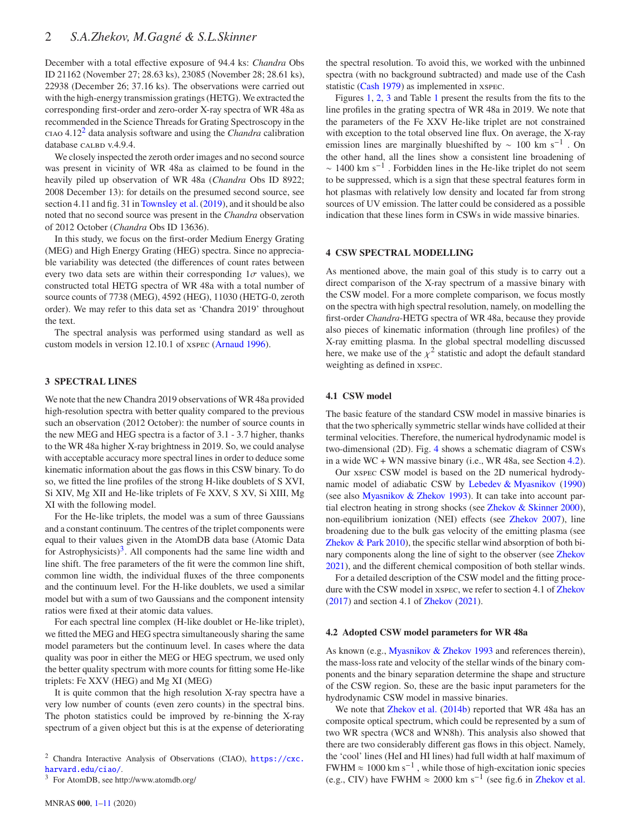December with a total effective exposure of 94.4 ks: *Chandra* Obs ID 21162 (November 27; 28.63 ks), 23085 (November 28; 28.61 ks), 22938 (December 26; 37.16 ks). The observations were carried out with the high-energy transmission gratings (HETG). We extracted the corresponding first-order and zero-order X-ray spectra of WR 48a as recommended in the Science Threads for Grating Spectroscopy in the ciao 4.12[2](#page-2-0) data analysis software and using the *Chandra* calibration database CALBD v.4.9.4.

We closely inspected the zeroth order images and no second source was present in vicinity of WR 48a as claimed to be found in the heavily piled up observation of WR 48a (*Chandra* Obs ID 8922; 2008 December 13): for details on the presumed second source, see section 4.11 and fig. 31 in [Townsley et al.\(2019](#page-11-11)), and it should be also noted that no second source was present in the *Chandra* observation of 2012 October (*Chandra* Obs ID 13636).

In this study, we focus on the first-order Medium Energy Grating (MEG) and High Energy Grating (HEG) spectra. Since no appreciable variability was detected (the differences of count rates between every two data sets are within their corresponding  $1\sigma$  values), we constructed total HETG spectra of WR 48a with a total number of source counts of 7738 (MEG), 4592 (HEG), 11030 (HETG-0, zeroth order). We may refer to this data set as 'Chandra 2019' throughout the text.

The spectral analysis was performed using standard as well as custom models in version 12.10.1 of xspec [\(Arnaud 1996\)](#page-10-7).

#### <span id="page-2-3"></span>**3 SPECTRAL LINES**

We note that the new Chandra 2019 observations of WR 48a provided high-resolution spectra with better quality compared to the previous such an observation (2012 October): the number of source counts in the new MEG and HEG spectra is a factor of 3.1 - 3.7 higher, thanks to the WR 48a higher X-ray brightness in 2019. So, we could analyse with acceptable accuracy more spectral lines in order to deduce some kinematic information about the gas flows in this CSW binary. To do so, we fitted the line profiles of the strong H-like doublets of S XVI, Si XIV, Mg XII and He-like triplets of Fe XXV, S XV, Si XIII, Mg XI with the following model.

For the He-like triplets, the model was a sum of three Gaussians and a constant continuum. The centres of the triplet components were equal to their values given in the AtomDB data base (Atomic Data for Astrophysicists)<sup>[3](#page-2-1)</sup>. All components had the same line width and line shift. The free parameters of the fit were the common line shift, common line width, the individual fluxes of the three components and the continuum level. For the H-like doublets, we used a similar model but with a sum of two Gaussians and the component intensity ratios were fixed at their atomic data values.

For each spectral line complex (H-like doublet or He-like triplet), we fitted the MEG and HEG spectra simultaneously sharing the same model parameters but the continuum level. In cases where the data quality was poor in either the MEG or HEG spectrum, we used only the better quality spectrum with more counts for fitting some He-like triplets: Fe XXV (HEG) and Mg XI (MEG)

It is quite common that the high resolution X-ray spectra have a very low number of counts (even zero counts) in the spectral bins. The photon statistics could be improved by re-binning the X-ray spectrum of a given object but this is at the expense of deteriorating

<span id="page-2-0"></span><sup>2</sup> Chandra Interactive Analysis of Observations (CIAO), [https://cxc.](https://cxc.harvard.edu/ciao/) [harvard.edu/ciao/](https://cxc.harvard.edu/ciao/).

<span id="page-2-1"></span><sup>3</sup> For AtomDB, see http://www.atomdb.org/

the spectral resolution. To avoid this, we worked with the unbinned spectra (with no background subtracted) and made use of the Cash statistic [\(Cash 1979](#page-10-8)) as implemented in xspec.

Figures [1,](#page-3-0) [2,](#page-3-1) [3](#page-4-0) and Table [1](#page-4-1) present the results from the fits to the line profiles in the grating spectra of WR 48a in 2019. We note that the parameters of the Fe XXV He-like triplet are not constrained with exception to the total observed line flux. On average, the X-ray emission lines are marginally blueshifted by  $\sim 100 \text{ km s}^{-1}$ . On the other hand, all the lines show a consistent line broadening of  $\sim 1400$  km s<sup>-1</sup>. Forbidden lines in the He-like triplet do not seem to be suppressed, which is a sign that these spectral features form in hot plasmas with relatively low density and located far from strong sources of UV emission. The latter could be considered as a possible indication that these lines form in CSWs in wide massive binaries.

#### **4 CSW SPECTRAL MODELLING**

As mentioned above, the main goal of this study is to carry out a direct comparison of the X-ray spectrum of a massive binary with the CSW model. For a more complete comparison, we focus mostly on the spectra with high spectral resolution, namely, on modelling the first-order *Chandra*-HETG spectra of WR 48a, because they provide also pieces of kinematic information (through line profiles) of the X-ray emitting plasma. In the global spectral modelling discussed here, we make use of the  $\chi^2$  statistic and adopt the default standard weighting as defined in xspec.

#### **4.1 CSW model**

The basic feature of the standard CSW model in massive binaries is that the two spherically symmetric stellar winds have collided at their terminal velocities. Therefore, the numerical hydrodynamic model is two-dimensional (2D). Fig. [4](#page-5-0) shows a schematic diagram of CSWs in a wide WC + WN massive binary (i.e., WR 48a, see Section [4.2\)](#page-2-2).

Our xspec CSW model is based on the 2D numerical hydrodynamic model of adiabatic CSW by [Lebedev & Myasnikov](#page-10-9) [\(1990](#page-10-9)) (see also [Myasnikov & Zhekov 1993](#page-10-10)). It can take into account partial electron heating in strong shocks (see [Zhekov & Skinner 2000](#page-11-12)), non-equilibrium ionization (NEI) effects (see [Zhekov 2007](#page-11-13)), line broadening due to the bulk gas velocity of the emitting plasma (see [Zhekov & Park 2010](#page-11-14)), the specific stellar wind absorption of both binary components along the line of sight to the observer (see [Zhekov](#page-11-15) [2021](#page-11-15)), and the different chemical composition of both stellar winds.

For a detailed description of the CSW model and the fitting procedure with the CSW model in xspec, we refer to section 4.1 of [Zhekov](#page-11-16) [\(2017](#page-11-16)) and section 4.1 of [Zhekov](#page-11-15) [\(2021](#page-11-15)).

#### <span id="page-2-2"></span>**4.2 Adopted CSW model parameters for WR 48a**

As known (e.g., [Myasnikov & Zhekov 1993](#page-10-10) and references therein), the mass-loss rate and velocity of the stellar winds of the binary components and the binary separation determine the shape and structure of the CSW region. So, these are the basic input parameters for the hydrodynamic CSW model in massive binaries.

We note that **Zhekov** et al. [\(2014b](#page-11-17)) reported that WR 48a has an composite optical spectrum, which could be represented by a sum of two WR spectra (WC8 and WN8h). This analysis also showed that there are two considerably different gas flows in this object. Namely, the 'cool' lines (HeI and HI lines) had full width at half maximum of FWHM  $\approx 1000 \text{ km s}^{-1}$ , while those of high-excitation ionic species (e.g., CIV) have FWHM  $\approx 2000$  km s<sup>-1</sup> (see fig.6 in [Zhekov et al.](#page-11-17)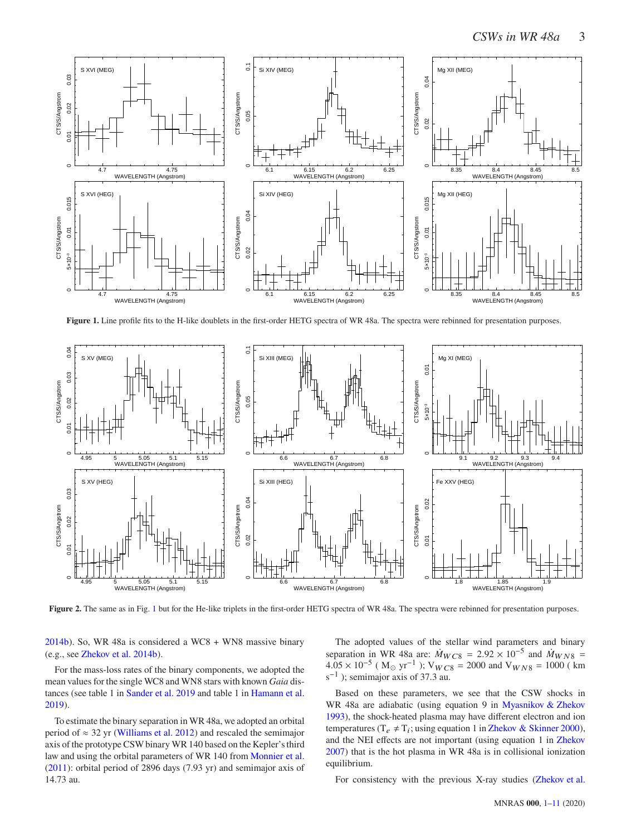

<span id="page-3-0"></span>Figure 1. Line profile fits to the H-like doublets in the first-order HETG spectra of WR 48a. The spectra were rebinned for presentation purposes.



<span id="page-3-1"></span>**Figure 2.** The same as in Fig. [1](#page-3-0) but for the He-like triplets in the first-order HETG spectra of WR 48a. The spectra were rebinned for presentation purposes.

[2014b](#page-11-17)). So, WR 48a is considered a WC8 + WN8 massive binary (e.g., see [Zhekov et al. 2014b](#page-11-17)).

For the mass-loss rates of the binary components, we adopted the mean values for the single WC8 and WN8 stars with known *Gaia* distances (see table 1 in [Sander et al. 2019](#page-11-18) and table 1 in [Hamann et al.](#page-10-11) [2019](#page-10-11)).

To estimate the binary separation in WR 48a, we adopted an orbital period of  $\approx$  32 yr [\(Williams et al. 2012](#page-11-5)) and rescaled the semimajor axis of the prototype CSW binary WR 140 based on the Kepler's third law and using the orbital parameters of WR 140 from [Monnier et al.](#page-10-12) [\(2011](#page-10-12)): orbital period of 2896 days (7.93 yr) and semimajor axis of 14.73 au.

The adopted values of the stellar wind parameters and binary separation in WR 48a are:  $\dot{M}_{WCS} = 2.92 \times 10^{-5}$  and  $\dot{M}_{WNS} =$  $4.05 \times 10^{-5}$  (M<sub>☉</sub> yr<sup>-1</sup>); V<sub>WC8</sub> = 2000 and V<sub>WN8</sub> = 1000 (km  $s^{-1}$ ); semimajor axis of 37.3 au.

Based on these parameters, we see that the CSW shocks in WR 48a are adiabatic (using equation 9 in [Myasnikov & Zhekov](#page-10-10) [1993](#page-10-10)), the shock-heated plasma may have different electron and ion temperatures ( $T_e \neq T_i$ ; using equation 1 in [Zhekov & Skinner 2000](#page-11-12)), and the NEI effects are not important (using equation 1 in [Zhekov](#page-11-13) [2007](#page-11-13)) that is the hot plasma in WR 48a is in collisional ionization equilibrium.

For consistency with the previous X-ray studies [\(Zhekov et al.](#page-11-6)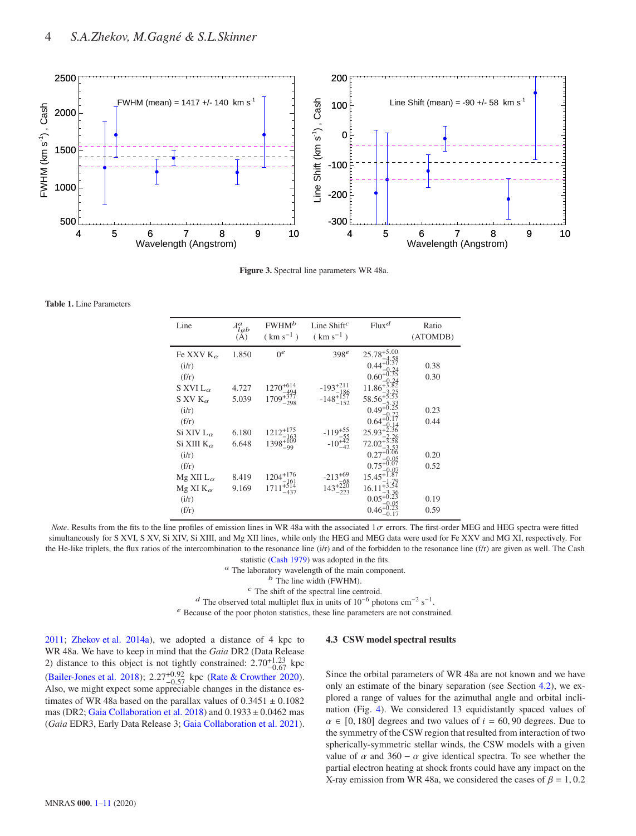

<span id="page-4-0"></span>**Figure 3.** Spectral line parameters WR 48a.

<span id="page-4-1"></span>**Table 1.** Line Parameters

| Line                  | $\lambda_{lab}^a$<br>$(\check{A})$ | FWHM <sup>b</sup><br>$(km s^{-1})$ | Line Shift <sup>c</sup><br>$(km s^{-1})$     | $Flux^d$                          | Ratio<br>(ATOMDB) |
|-----------------------|------------------------------------|------------------------------------|----------------------------------------------|-----------------------------------|-------------------|
| Fe XXV $K_{\alpha}$   | 1.850                              | 0 <sup>e</sup>                     | 398 <sup>e</sup>                             | $25.78^{+5.00}$                   |                   |
| (i/r)                 |                                    |                                    |                                              | $0.44^{+0.58}_{+0.37}$            | 0.38              |
| (f/r)                 |                                    |                                    |                                              | $0.60^{+0.24}_{+0.35}$            | 0.30              |
| S XVI L $_{\alpha}$   | 4.727                              | $1270^{+614}$<br>$-494$            |                                              | $^{+0.24}_{-1.86^{+3.82}}$        |                   |
| S XV $K_{\alpha}$     | 5.039                              | $1709+377$<br>$-298$               | $-193^{+211}_{-186}$<br>$-148^{+157}_{-152}$ | $58.56^{+5}$                      |                   |
| (i/r)                 |                                    |                                    |                                              | $0.49^{+0.35}_{+0.25}$            | 0.23              |
| (f/r)                 |                                    |                                    |                                              | $0.64^{+0}$                       | 0.44              |
| Si XIV L $_{\alpha}$  | 6.180                              | $1212^{+175}$<br>163               | $-119^{+55}_{-55}$<br>$-10^{+42}_{-42}$      | $25.93^{+2.36}$                   |                   |
| Si XIII K $_{\alpha}$ | 6.648                              | $1398 + \frac{109}{109}$           |                                              | 72.02                             |                   |
| (i/r)                 |                                    |                                    |                                              | $0.27^{+0.06}$                    | 0.20              |
| (f/r)                 |                                    |                                    |                                              | $0.75^{+0.05}_{+0.07}$            | 0.52              |
| $Mg XII L_{\alpha}$   | 8.419                              | $1204 + 176$                       | $-213^{+69}$                                 | $15.45^{+0.07}_{+1.87}$           |                   |
| Mg XI K $_{\alpha}$   | 9.169                              | $1204 - 161$ $1711 + 514$ $-437$   | $143^{+220}_{-223}$                          | $16.11 + 3.54$                    |                   |
| (i/r)                 |                                    |                                    |                                              | $0.05^{+3.36}_{+0.23}$            | 0.19              |
| (f/r)                 |                                    |                                    |                                              | $0.46^{+0.05}_{+0.23}$<br>$-0.17$ | 0.59              |

*Note*. Results from the fits to the line profiles of emission lines in WR 48a with the associated  $1\sigma$  errors. The first-order MEG and HEG spectra were fitted simultaneously for S XVI, S XV, Si XIV, Si XIII, and Mg XII lines, while only the HEG and MEG data were used for Fe XXV and MG XI, respectively. For the He-like triplets, the flux ratios of the intercombination to the resonance line  $(i/r)$  and of the forbidden to the resonance line  $(f/r)$  are given as well. The Cash statistic [\(Cash 1979\)](#page-10-8) was adopted in the fits.

 $\,^a$  The laboratory wavelength of the main component.

 $<sup>b</sup>$  The line width (FWHM).</sup>

 $<sup>c</sup>$  The shift of the spectral line centroid.</sup>

<sup>d</sup> The observed total multiplet flux in units of 10<sup>-6</sup> photons cm<sup>-2</sup> s<sup>-1</sup>.

 $e<sup>e</sup>$  Because of the poor photon statistics, these line parameters are not constrained.

[2011](#page-11-6); [Zhekov et al. 2014a](#page-11-7)), we adopted a distance of 4 kpc to WR 48a. We have to keep in mind that the *Gaia* DR2 (Data Release 2) distance to this object is not tightly constrained:  $2.70^{+1.23}_{-0.67}$  kpc [\(Bailer-Jones et al. 2018](#page-10-13));  $2.27^{+0.92}_{-0.57}$  kpc [\(Rate & Crowther 2020\)](#page-11-19).<br>Also, we might expect some appreciable changes in the distance estimates of WR 48a based on the parallax values of  $0.3451 \pm 0.1082$ mas (DR2; [Gaia Collaboration et al. 2018\)](#page-10-14) and  $0.1933 \pm 0.0462$  mas (*Gaia* EDR3, Early Data Release 3; [Gaia Collaboration et al. 2021\)](#page-10-15).

#### <span id="page-4-2"></span>**4.3 CSW model spectral results**

Since the orbital parameters of WR 48a are not known and we have only an estimate of the binary separation (see Section [4.2\)](#page-2-2), we explored a range of values for the azimuthal angle and orbital inclination (Fig. [4\)](#page-5-0). We considered 13 equidistantly spaced values of  $\alpha \in [0, 180]$  degrees and two values of  $i = 60, 90$  degrees. Due to the symmetry of the CSW region that resulted from interaction of two spherically-symmetric stellar winds, the CSW models with a given value of  $\alpha$  and 360 −  $\alpha$  give identical spectra. To see whether the partial electron heating at shock fronts could have any impact on the X-ray emission from WR 48a, we considered the cases of  $\beta = 1, 0.2$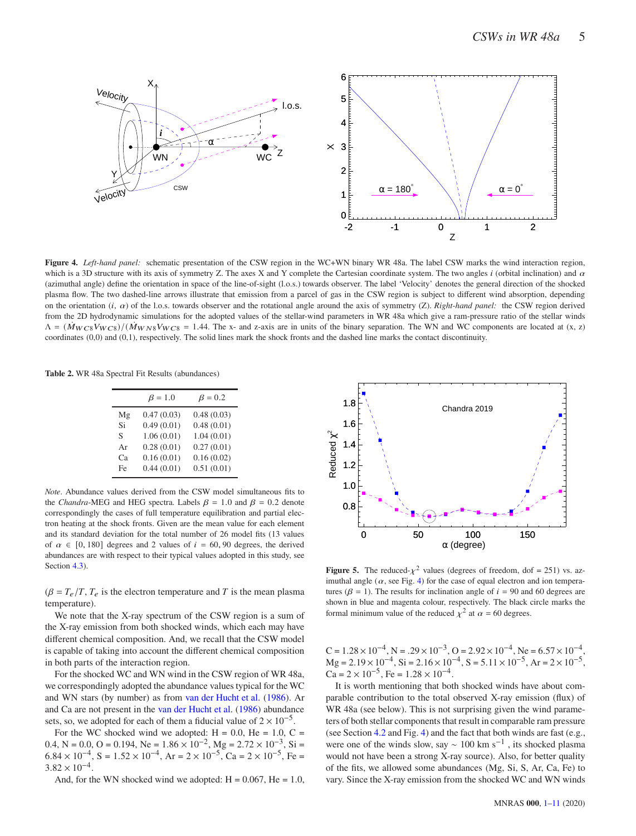

<span id="page-5-0"></span>**Figure 4.** *Left-hand panel:* schematic presentation of the CSW region in the WC+WN binary WR 48a. The label CSW marks the wind interaction region, which is a 3D structure with its axis of symmetry Z. The axes X and Y complete the Cartesian coordinate system. The two angles  $i$  (orbital inclination) and  $\alpha$ (azimuthal angle) define the orientation in space of the line-of-sight (l.o.s.) towards observer. The label 'Velocity' denotes the general direction of the shocked plasma flow. The two dashed-line arrows illustrate that emission from a parcel of gas in the CSW region is subject to different wind absorption, depending on the orientation  $(i, \alpha)$  of the l.o.s. towards observer and the rotational angle around the axis of symmetry  $(Z)$ . *Right-hand panel:* the CSW region derived from the 2D hydrodynamic simulations for the adopted values of the stellar-wind parameters in WR 48a which give a ram-pressure ratio of the stellar winds  $\Lambda = (\dot{M}_{WCS}V_{WCS})/(\dot{M}_{WNS}V_{WCS} = 1.44$ . The x- and z-axis are in units of the binary separation. The WN and WC components are located at (x, z) coordinates (0,0) and (0,1), respectively. The solid lines mark the shock fronts and the dashed line marks the contact discontinuity.

<span id="page-5-1"></span>**Table 2.** WR 48a Spectral Fit Results (abundances)

|    | $\beta = 1.0$ | $\beta = 0.2$ |
|----|---------------|---------------|
| Mg | 0.47(0.03)    | 0.48(0.03)    |
| Si | 0.49(0.01)    | 0.48(0.01)    |
| S  | 1.06(0.01)    | 1.04(0.01)    |
| Ar | 0.28(0.01)    | 0.27(0.01)    |
| Cа | 0.16(0.01)    | 0.16(0.02)    |
| Fe | 0.44(0.01)    | 0.51(0.01)    |

*Note*. Abundance values derived from the CSW model simultaneous fits to the *Chandra*-MEG and HEG spectra. Labels  $\beta = 1.0$  and  $\beta = 0.2$  denote correspondingly the cases of full temperature equilibration and partial electron heating at the shock fronts. Given are the mean value for each element and its standard deviation for the total number of 26 model fits (13 values of  $\alpha \in [0, 180]$  degrees and 2 values of  $i = 60, 90$  degrees, the derived abundances are with respect to their typical values adopted in this study, see Section [4.3\)](#page-4-2).

 $(\beta = T_e/T, T_e)$  is the electron temperature and T is the mean plasma temperature).

We note that the X-ray spectrum of the CSW region is a sum of the X-ray emission from both shocked winds, which each may have different chemical composition. And, we recall that the CSW model is capable of taking into account the different chemical composition in both parts of the interaction region.

For the shocked WC and WN wind in the CSW region of WR 48a, we correspondingly adopted the abundance values typical for the WC and WN stars (by number) as from [van der Hucht et al.](#page-11-20) [\(1986](#page-11-20)). Ar and Ca are not present in the [van der Hucht et al.](#page-11-20) [\(1986](#page-11-20)) abundance sets, so, we adopted for each of them a fiducial value of  $2 \times 10^{-5}$ .

For the WC shocked wind we adopted:  $H = 0.0$ ,  $He = 1.0$ ,  $C =$ 0.4, N = 0.0, O = 0.194, Ne =  $1.86 \times 10^{-2}$ , Mg =  $2.72 \times 10^{-3}$ , Si =  $6.84 \times 10^{-4}$ , S =  $1.52 \times 10^{-4}$ , Ar =  $2 \times 10^{-5}$ , Ca =  $2 \times 10^{-5}$ , Fe =  $3.82 \times 10^{-4}$ .

And, for the WN shocked wind we adopted:  $H = 0.067$ ,  $He = 1.0$ ,



<span id="page-5-2"></span>**Figure 5.** The reduced- $\chi^2$  values (degrees of freedom, dof = 251) vs. azimuthal angle  $(\alpha, \text{see Fig. 4})$  for the case of equal electron and ion temperatures ( $\beta = 1$ ). The results for inclination angle of  $i = 90$  and 60 degrees are shown in blue and magenta colour, respectively. The black circle marks the formal minimum value of the reduced  $\chi^2$  at  $\alpha$  = 60 degrees.

 $C = 1.28 \times 10^{-4}$ , N =  $.29 \times 10^{-3}$ , O =  $2.92 \times 10^{-4}$ , Ne =  $6.57 \times 10^{-4}$ ,  $Mg = 2.19 \times 10^{-4}$ , Si =  $2.16 \times 10^{-4}$ , S =  $5.11 \times 10^{-5}$ , Ar =  $2 \times 10^{-5}$ ,  $Ca = 2 \times 10^{-5}$ , Fe =  $1.28 \times 10^{-4}$ .

It is worth mentioning that both shocked winds have about comparable contribution to the total observed X-ray emission (flux) of WR 48a (see below). This is not surprising given the wind parameters of both stellar components that result in comparable ram pressure (see Section [4.2](#page-2-2) and Fig. [4\)](#page-5-0) and the fact that both winds are fast (e.g., were one of the winds slow, say  $\sim 100$  km s<sup>-1</sup>, its shocked plasma would not have been a strong X-ray source). Also, for better quality of the fits, we allowed some abundances (Mg, Si, S, Ar, Ca, Fe) to vary. Since the X-ray emission from the shocked WC and WN winds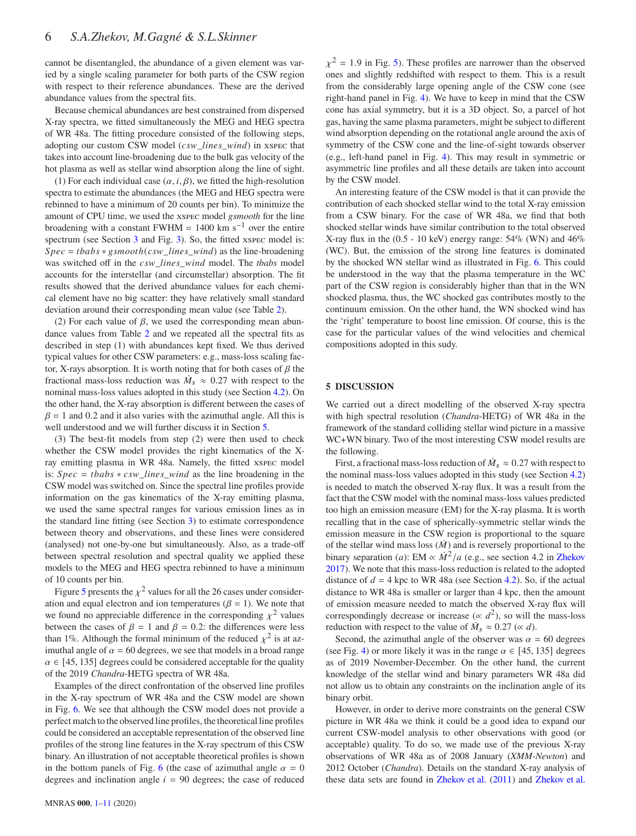cannot be disentangled, the abundance of a given element was varied by a single scaling parameter for both parts of the CSW region with respect to their reference abundances. These are the derived abundance values from the spectral fits.

Because chemical abundances are best constrained from dispersed X-ray spectra, we fitted simultaneously the MEG and HEG spectra of WR 48a. The fitting procedure consisted of the following steps, adopting our custom CSW model  $(csw\_lines\_wind)$  in xspec that takes into account line-broadening due to the bulk gas velocity of the hot plasma as well as stellar wind absorption along the line of sight.

(1) For each individual case  $(\alpha, i, \beta)$ , we fitted the high-resolution spectra to estimate the abundances (the MEG and HEG spectra were rebinned to have a minimum of 20 counts per bin). To minimize the amount of CPU time, we used the xspec model *gsmooth* for the line broadening with a constant FWHM =  $1400 \text{ km s}^{-1}$  over the entire spectrum (see Section [3](#page-2-3) and Fig. [3\)](#page-4-0). So, the fitted xspec model is:  $Spec = tbabs * gsmooth(csw\_lines\_wind)$  as the line-broadening was switched off in the  $csw\_lines\_wind$  model. The *tbabs* model accounts for the interstellar (and circumstellar) absorption. The fit results showed that the derived abundance values for each chemical element have no big scatter: they have relatively small standard deviation around their corresponding mean value (see Table [2\)](#page-5-1).

(2) For each value of  $\beta$ , we used the corresponding mean abundance values from Table [2](#page-5-1) and we repeated all the spectral fits as described in step (1) with abundances kept fixed. We thus derived typical values for other CSW parameters: e.g., mass-loss scaling factor, X-rays absorption. It is worth noting that for both cases of  $\beta$  the fractional mass-loss reduction was  $\dot{M}_s \approx 0.27$  with respect to the nominal mass-loss values adopted in this study (see Section [4.2\)](#page-2-2). On the other hand, the X-ray absorption is different between the cases of  $\beta$  = 1 and 0.2 and it also varies with the azimuthal angle. All this is well understood and we will further discuss it in Section [5.](#page-6-0)

(3) The best-fit models from step (2) were then used to check whether the CSW model provides the right kinematics of the Xray emitting plasma in WR 48a. Namely, the fitted xspec model is:  $Spec = tbabs * csw\_lines\_wind$  as the line broadening in the CSW model was switched on. Since the spectral line profiles provide information on the gas kinematics of the X-ray emitting plasma, we used the same spectral ranges for various emission lines as in the standard line fitting (see Section [3\)](#page-2-3) to estimate correspondence between theory and observations, and these lines were considered (analysed) not one-by-one but simultaneously. Also, as a trade-off between spectral resolution and spectral quality we applied these models to the MEG and HEG spectra rebinned to have a minimum of 10 counts per bin.

Figure [5](#page-5-2) presents the  $\chi^2$  values for all the 26 cases under consideration and equal electron and ion temperatures ( $\beta = 1$ ). We note that we found no appreciable difference in the corresponding  $\chi^2$  values between the cases of  $\beta = 1$  and  $\beta = 0.2$ : the differences were less than 1%. Although the formal minimum of the reduced  $\chi^2$  is at azimuthal angle of  $\alpha = 60$  degrees, we see that models in a broad range  $\alpha \in [45, 135]$  degrees could be considered acceptable for the quality of the 2019 *Chandra*-HETG spectra of WR 48a.

Examples of the direct confrontation of the observed line profiles in the X-ray spectrum of WR 48a and the CSW model are shown in Fig. [6.](#page-7-0) We see that although the CSW model does not provide a perfect match to the observed line profiles, the theoretical line profiles could be considered an acceptable representation of the observed line profiles of the strong line features in the X-ray spectrum of this CSW binary. An illustration of not acceptable theoretical profiles is shown in the bottom panels of Fig. [6](#page-7-0) (the case of azimuthal angle  $\alpha = 0$ degrees and inclination angle  $i = 90$  degrees; the case of reduced

 $\chi^2$  = 1.9 in Fig. [5\)](#page-5-2). These profiles are narrower than the observed ones and slightly redshifted with respect to them. This is a result from the considerably large opening angle of the CSW cone (see right-hand panel in Fig. [4\)](#page-5-0). We have to keep in mind that the CSW cone has axial symmetry, but it is a 3D object. So, a parcel of hot gas, having the same plasma parameters, might be subject to different wind absorption depending on the rotational angle around the axis of symmetry of the CSW cone and the line-of-sight towards observer (e.g., left-hand panel in Fig. [4\)](#page-5-0). This may result in symmetric or asymmetric line profiles and all these details are taken into account by the CSW model.

An interesting feature of the CSW model is that it can provide the contribution of each shocked stellar wind to the total X-ray emission from a CSW binary. For the case of WR 48a, we find that both shocked stellar winds have similar contribution to the total observed X-ray flux in the  $(0.5 - 10 \text{ keV})$  energy range:  $54\%$  (WN) and  $46\%$ (WC). But, the emission of the strong line features is dominated by the shocked WN stellar wind as illustrated in Fig. [6.](#page-7-0) This could be understood in the way that the plasma temperature in the WC part of the CSW region is considerably higher than that in the WN shocked plasma, thus, the WC shocked gas contributes mostly to the continuum emission. On the other hand, the WN shocked wind has the 'right' temperature to boost line emission. Of course, this is the case for the particular values of the wind velocities and chemical compositions adopted in this sudy.

#### <span id="page-6-0"></span>**5 DISCUSSION**

We carried out a direct modelling of the observed X-ray spectra with high spectral resolution (*Chandra*-HETG) of WR 48a in the framework of the standard colliding stellar wind picture in a massive WC+WN binary. Two of the most interesting CSW model results are the following.

First, a fractional mass-loss reduction of  $\dot{M}_s \approx 0.27$  with respect to the nominal mass-loss values adopted in this study (see Section [4.2\)](#page-2-2) is needed to match the observed X-ray flux. It was a result from the fact that the CSW model with the nominal mass-loss values predicted too high an emission measure (EM) for the X-ray plasma. It is worth recalling that in the case of spherically-symmetric stellar winds the emission measure in the CSW region is proportional to the square of the stellar wind mass loss  $(\dot{M})$  and is reversely proportional to the binary separation (*a*): EM  $\propto \dot{M}^2/a$  (e.g., see section 4.2 in [Zhekov](#page-11-16) [2017](#page-11-16)). We note that this mass-loss reduction is related to the adopted distance of  $d = 4$  kpc to WR 48a (see Section [4.2\)](#page-2-2). So, if the actual distance to WR 48a is smaller or larger than 4 kpc, then the amount of emission measure needed to match the observed X-ray flux will correspondingly decrease or increase ( $\propto d^2$ ), so will the mass-loss reduction with respect to the value of  $\dot{M}_s \approx 0.27$  ( $\propto d$ ).

Second, the azimuthal angle of the observer was  $\alpha = 60$  degrees (see Fig. [4\)](#page-5-0) or more likely it was in the range  $\alpha \in [45, 135]$  degrees as of 2019 November-December. On the other hand, the current knowledge of the stellar wind and binary parameters WR 48a did not allow us to obtain any constraints on the inclination angle of its binary orbit.

However, in order to derive more constraints on the general CSW picture in WR 48a we think it could be a good idea to expand our current CSW-model analysis to other observations with good (or acceptable) quality. To do so, we made use of the previous X-ray observations of WR 48a as of 2008 January (*XMM-Newton*) and 2012 October (*Chandra*). Details on the standard X-ray analysis of these data sets are found in [Zhekov et al.](#page-11-6) [\(2011](#page-11-6)) and [Zhekov et al.](#page-11-7)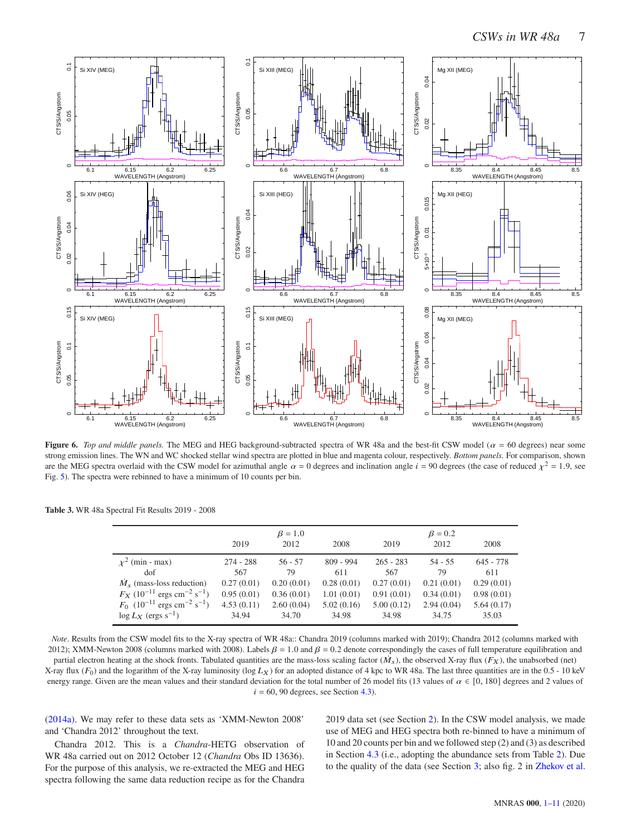

<span id="page-7-0"></span>**Figure 6.** *Top and middle panels*. The MEG and HEG background-subtracted spectra of WR 48a and the best-fit CSW model ( $\alpha = 60$  degrees) near some strong emission lines. The WN and WC shocked stellar wind spectra are plotted in blue and magenta colour, respectively. *Bottom panels.* For comparison, shown are the MEG spectra overlaid with the CSW model for azimuthal angle  $\alpha = 0$  degrees and inclination angle  $i = 90$  degrees (the case of reduced  $\chi^2 = 1.9$ , see Fig. [5\)](#page-5-2). The spectra were rebinned to have a minimum of 10 counts per bin.

<span id="page-7-1"></span>

|                                                                  | 2019        | $\beta = 1.0$<br>2012 | 2008        | 2019        | $\beta = 0.2$<br>2012 | 2008        |
|------------------------------------------------------------------|-------------|-----------------------|-------------|-------------|-----------------------|-------------|
| $\chi^2$ (min - max)                                             | $274 - 288$ | $56 - 57$             | $809 - 994$ | $265 - 283$ | $54 - 55$             | $645 - 778$ |
| dof                                                              | 567         | 79                    | 611         | 567         | 79                    | 611         |
| $\dot{M}_{s}$ (mass-loss reduction)                              | 0.27(0.01)  | 0.20(0.01)            | 0.28(0.01)  | 0.27(0.01)  | 0.21(0.01)            | 0.29(0.01)  |
| $F_X$ (10 <sup>-11</sup> ergs cm <sup>-2</sup> s <sup>-1</sup> ) | 0.95(0.01)  | 0.36(0.01)            | 1.01(0.01)  | 0.91(0.01)  | 0.34(0.01)            | 0.98(0.01)  |
| $F_0$ (10 <sup>-11</sup> ergs cm <sup>-2</sup> s <sup>-1</sup> ) | 4.53(0.11)  | 2.60(0.04)            | 5.02(0.16)  | 5.00(0.12)  | 2.94(0.04)            | 5.64(0.17)  |
| $\log L_X$ (ergs s <sup>-1</sup> )                               | 34.94       | 34.70                 | 34.98       | 34.98       | 34.75                 | 35.03       |

*Note*. Results from the CSW model fits to the X-ray spectra of WR 48a:: Chandra 2019 (columns marked with 2019); Chandra 2012 (columns marked with 2012); XMM-Newton 2008 (columns marked with 2008). Labels  $\beta = 1.0$  and  $\beta = 0.2$  denote correspondingly the cases of full temperature equilibration and partial electron heating at the shock fronts. Tabulated quantities are the mass-loss scaling factor  $(M_s)$ , the observed X-ray flux  $(F_X)$ , the unabsorbed (net) X-ray flux  $(F_0)$  and the logarithm of the X-ray luminosity (log  $L_X$ ) for an adopted distance of 4 kpc to WR 48a. The last three quantities are in the 0.5 - 10 keV energy range. Given are the mean values and their standard deviation for the total number of 26 model fits (13 values of  $\alpha \in [0, 180]$  degrees and 2 values of  $i = 60, 90$  degrees, see Section [4.3\)](#page-4-2).

[\(2014a\)](#page-11-7). We may refer to these data sets as 'XMM-Newton 2008' and 'Chandra 2012' throughout the text.

Chandra 2012. This is a *Chandra*-HETG observation of WR 48a carried out on 2012 October 12 (*Chandra* Obs ID 13636). For the purpose of this analysis, we re-extracted the MEG and HEG spectra following the same data reduction recipe as for the Chandra 2019 data set (see Section [2\)](#page-1-2). In the CSW model analysis, we made use of MEG and HEG spectra both re-binned to have a minimum of 10 and 20 counts per bin and we followed step (2) and (3) as described in Section [4.3](#page-4-2) (i.e., adopting the abundance sets from Table [2\)](#page-5-1). Due to the quality of the data (see Section [3;](#page-2-3) also fig. 2 in [Zhekov et al.](#page-11-7)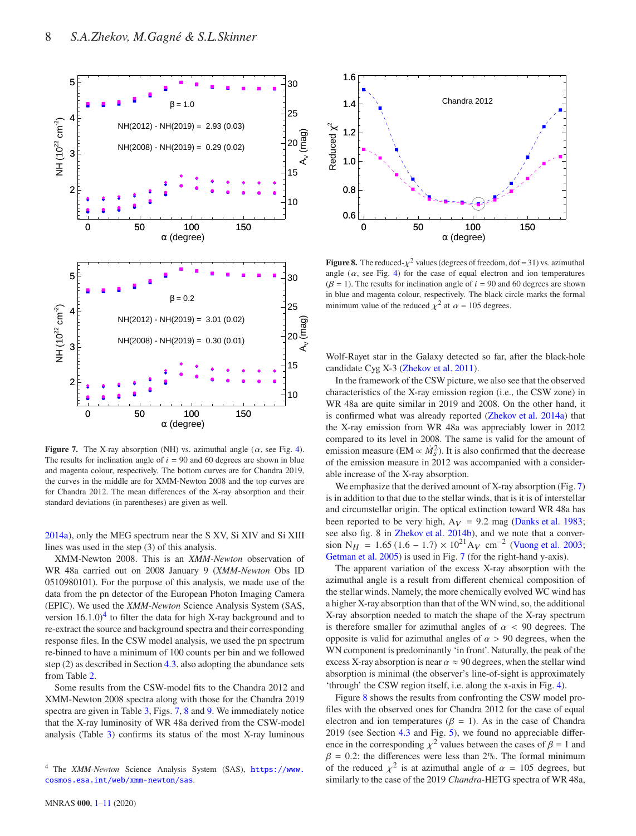

<span id="page-8-1"></span>**Figure 7.** The X-ray absorption (NH) vs. azimuthal angle  $(\alpha, \text{see Fig. 4})$ . The results for inclination angle of  $i = 90$  and 60 degrees are shown in blue and magenta colour, respectively. The bottom curves are for Chandra 2019, the curves in the middle are for XMM-Newton 2008 and the top curves are for Chandra 2012. The mean differences of the X-ray absorption and their standard deviations (in parentheses) are given as well.

[2014a](#page-11-7)), only the MEG spectrum near the S XV, Si XIV and Si XIII lines was used in the step (3) of this analysis.

XMM-Newton 2008. This is an *XMM-Newton* observation of WR 48a carried out on 2008 January 9 (*XMM-Newton* Obs ID 0510980101). For the purpose of this analysis, we made use of the data from the pn detector of the European Photon Imaging Camera (EPIC). We used the *XMM-Newton* Science Analysis System (SAS, version  $16.1.0$ <sup>[4](#page-8-0)</sup> to filter the data for high X-ray background and to re-extract the source and background spectra and their corresponding response files. In the CSW model analysis, we used the pn spectrum re-binned to have a minimum of 100 counts per bin and we followed step (2) as described in Section [4.3,](#page-4-2) also adopting the abundance sets from Table [2.](#page-5-1)

Some results from the CSW-model fits to the Chandra 2012 and XMM-Newton 2008 spectra along with those for the Chandra 2019 spectra are given in Table [3,](#page-7-1) Figs. [7,](#page-8-1) [8](#page-8-2) and [9.](#page-9-0) We immediately notice that the X-ray luminosity of WR 48a derived from the CSW-model analysis (Table [3\)](#page-7-1) confirms its status of the most X-ray luminous



<span id="page-8-2"></span>**Figure 8.** The reduced- $\chi^2$  values (degrees of freedom, dof = 31) vs. azimuthal angle  $(\alpha, \text{ see Fig. 4})$  for the case of equal electron and ion temperatures ( $\beta$  = 1). The results for inclination angle of  $i = 90$  and 60 degrees are shown in blue and magenta colour, respectively. The black circle marks the formal minimum value of the reduced  $\chi^2$  at  $\alpha = 105$  degrees.

Wolf-Rayet star in the Galaxy detected so far, after the black-hole candidate Cyg X-3 [\(Zhekov et al. 2011\)](#page-11-6).

In the framework of the CSW picture, we also see that the observed characteristics of the X-ray emission region (i.e., the CSW zone) in WR 48a are quite similar in 2019 and 2008. On the other hand, it is confirmed what was already reported [\(Zhekov et al. 2014a](#page-11-7)) that the X-ray emission from WR 48a was appreciably lower in 2012 compared to its level in 2008. The same is valid for the amount of emission measure (EM  $\propto \dot{M}_s^2$ ). It is also confirmed that the decrease of the emission measure in 2012 was accompanied with a considerable increase of the X-ray absorption.

We emphasize that the derived amount of X-ray absorption (Fig. [7\)](#page-8-1) is in addition to that due to the stellar winds, that is it is of interstellar and circumstellar origin. The optical extinction toward WR 48a has been reported to be very high,  $A_V = 9.2$  mag [\(Danks et al. 1983;](#page-10-1) see also fig. 8 in [Zhekov et al. 2014b\)](#page-11-17), and we note that a conver-sion N<sub>H</sub> = 1.65 (1.6 – 1.7) × 10<sup>21</sup> A<sub>V</sub> cm<sup>-2</sup> [\(Vuong et al. 2003;](#page-11-21) [Getman et al. 2005](#page-10-16)) is used in Fig. [7](#page-8-1) (for the right-hand y-axis).

The apparent variation of the excess X-ray absorption with the azimuthal angle is a result from different chemical composition of the stellar winds. Namely, the more chemically evolved WC wind has a higher X-ray absorption than that of the WN wind, so, the additional X-ray absorption needed to match the shape of the X-ray spectrum is therefore smaller for azimuthal angles of  $\alpha$  < 90 degrees. The opposite is valid for azimuthal angles of  $\alpha > 90$  degrees, when the WN component is predominantly 'in front'. Naturally, the peak of the excess X-ray absorption is near  $\alpha \approx 90$  degrees, when the stellar wind absorption is minimal (the observer's line-of-sight is approximately 'through' the CSW region itself, i.e. along the x-axis in Fig. [4\)](#page-5-0).

Figure [8](#page-8-2) shows the results from confronting the CSW model profiles with the observed ones for Chandra 2012 for the case of equal electron and ion temperatures ( $\beta = 1$ ). As in the case of Chandra 2019 (see Section [4.3](#page-4-2) and Fig. [5\)](#page-5-2), we found no appreciable difference in the corresponding  $\chi^2$  values between the cases of  $\beta = 1$  and  $\beta = 0.2$ : the differences were less than 2%. The formal minimum of the reduced  $\chi^2$  is at azimuthal angle of  $\alpha = 105$  degrees, but similarly to the case of the 2019 *Chandra*-HETG spectra of WR 48a,

<span id="page-8-0"></span><sup>4</sup> The *XMM-Newton* Science Analysis System (SAS), [https://www.](https://www.cosmos.esa.int/web/xmm-newton/sas) [cosmos.esa.int/web/xmm-newton/sas](https://www.cosmos.esa.int/web/xmm-newton/sas).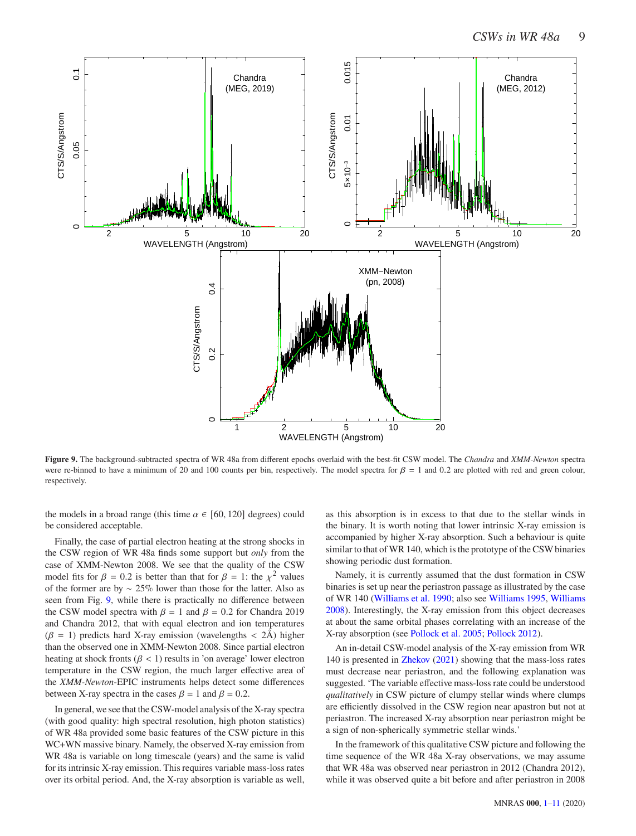

<span id="page-9-0"></span>**Figure 9.** The background-subtracted spectra of WR 48a from different epochs overlaid with the best-fit CSW model. The *Chandra* and *XMM-Newton* spectra were re-binned to have a minimum of 20 and 100 counts per bin, respectively. The model spectra for  $\beta = 1$  and 0.2 are plotted with red and green colour, respectively.

the models in a broad range (this time  $\alpha \in [60, 120]$  degrees) could be considered acceptable.

Finally, the case of partial electron heating at the strong shocks in the CSW region of WR 48a finds some support but *only* from the case of XMM-Newton 2008. We see that the quality of the CSW model fits for  $\beta = 0.2$  is better than that for  $\beta = 1$ : the  $\chi^2$  values of the former are by ∼ 25% lower than those for the latter. Also as seen from Fig. [9,](#page-9-0) while there is practically no difference between the CSW model spectra with  $\beta = 1$  and  $\beta = 0.2$  for Chandra 2019 and Chandra 2012, that with equal electron and ion temperatures  $(\beta = 1)$  predicts hard X-ray emission (wavelengths < 2Å) higher than the observed one in XMM-Newton 2008. Since partial electron heating at shock fronts ( $\beta$  < 1) results in 'on average' lower electron temperature in the CSW region, the much larger effective area of the *XMM-Newton*-EPIC instruments helps detect some differences between X-ray spectra in the cases  $\beta = 1$  and  $\beta = 0.2$ .

In general, we see that the CSW-model analysis of the X-ray spectra (with good quality: high spectral resolution, high photon statistics) of WR 48a provided some basic features of the CSW picture in this WC+WN massive binary. Namely, the observed X-ray emission from WR 48a is variable on long timescale (years) and the same is valid for its intrinsic X-ray emission. This requires variable mass-loss rates over its orbital period. And, the X-ray absorption is variable as well, as this absorption is in excess to that due to the stellar winds in the binary. It is worth noting that lower intrinsic X-ray emission is accompanied by higher X-ray absorption. Such a behaviour is quite similar to that of WR 140, which is the prototype of the CSW binaries showing periodic dust formation.

Namely, it is currently assumed that the dust formation in CSW binaries is set up near the periastron passage as illustrated by the case of WR 140 [\(Williams et al. 1990;](#page-11-1) also see [Williams 1995,](#page-11-0) [Williams](#page-11-2) [2008](#page-11-2)). Interestingly, the X-ray emission from this object decreases at about the same orbital phases correlating with an increase of the X-ray absorption (see [Pollock et al. 2005](#page-11-22); [Pollock 2012](#page-11-23)).

An in-detail CSW-model analysis of the X-ray emission from WR 140 is presented in [Zhekov](#page-11-15) [\(2021](#page-11-15)) showing that the mass-loss rates must decrease near periastron, and the following explanation was suggested. 'The variable effective mass-loss rate could be understood *qualitatively* in CSW picture of clumpy stellar winds where clumps are efficiently dissolved in the CSW region near apastron but not at periastron. The increased X-ray absorption near periastron might be a sign of non-spherically symmetric stellar winds.'

In the framework of this qualitative CSW picture and following the time sequence of the WR 48a X-ray observations, we may assume that WR 48a was observed near periastron in 2012 (Chandra 2012), while it was observed quite a bit before and after periastron in 2008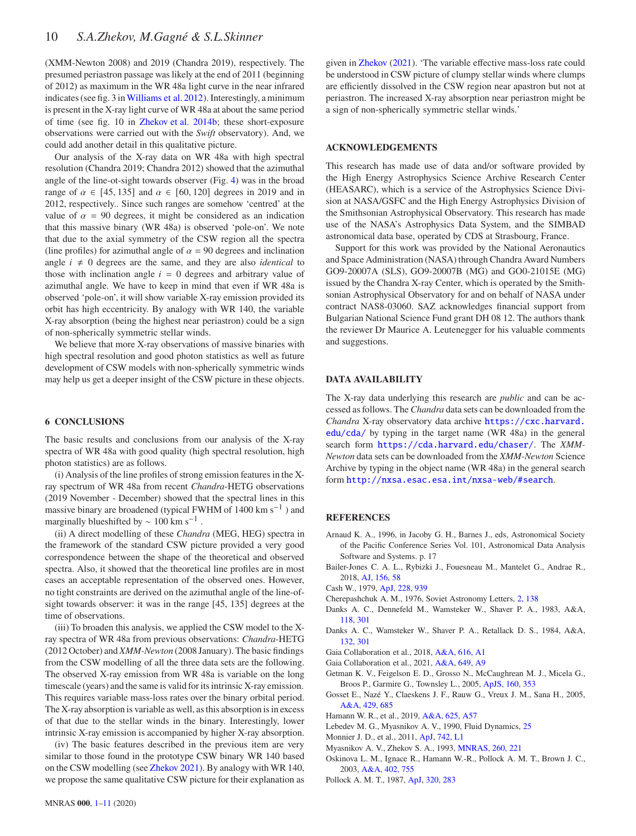(XMM-Newton 2008) and 2019 (Chandra 2019), respectively. The presumed periastron passage was likely at the end of 2011 (beginning of 2012) as maximum in the WR 48a light curve in the near infrared indicates (see fig. 3 in[Williams et al. 2012](#page-11-5)). Interestingly, a minimum is present in the X-ray light curve of WR 48a at about the same period of time (see fig. 10 in [Zhekov et al. 2014b](#page-11-17); these short-exposure observations were carried out with the *Swift* observatory). And, we could add another detail in this qualitative picture.

Our analysis of the X-ray data on WR 48a with high spectral resolution (Chandra 2019; Chandra 2012) showed that the azimuthal angle of the line-ot-sight towards observer (Fig. [4\)](#page-5-0) was in the broad range of  $\alpha \in [45, 135]$  and  $\alpha \in [60, 120]$  degrees in 2019 and in 2012, respectively.. Since such ranges are somehow 'centred' at the value of  $\alpha = 90$  degrees, it might be considered as an indication that this massive binary (WR 48a) is observed 'pole-on'. We note that due to the axial symmetry of the CSW region all the spectra (line profiles) for azimuthal angle of  $\alpha = 90$  degrees and inclination angle  $i \neq 0$  degrees are the same, and they are also *identical* to those with inclination angle  $i = 0$  degrees and arbitrary value of azimuthal angle. We have to keep in mind that even if WR 48a is observed 'pole-on', it will show variable X-ray emission provided its orbit has high eccentricity. By analogy with WR 140, the variable X-ray absorption (being the highest near periastron) could be a sign of non-spherically symmetric stellar winds.

We believe that more X-ray observations of massive binaries with high spectral resolution and good photon statistics as well as future development of CSW models with non-spherically symmetric winds may help us get a deeper insight of the CSW picture in these objects.

#### <span id="page-10-0"></span>**6 CONCLUSIONS**

The basic results and conclusions from our analysis of the X-ray spectra of WR 48a with good quality (high spectral resolution, high photon statistics) are as follows.

(i) Analysis of the line profiles of strong emission features in the Xray spectrum of WR 48a from recent *Chandra*-HETG observations (2019 November - December) showed that the spectral lines in this massive binary are broadened (typical FWHM of 1400 km s<sup>-1</sup>) and marginally blueshifted by  $\sim 100$  km s<sup>-1</sup>.

(ii) A direct modelling of these *Chandra* (MEG, HEG) spectra in the framework of the standard CSW picture provided a very good correspondence between the shape of the theoretical and observed spectra. Also, it showed that the theoretical line profiles are in most cases an acceptable representation of the observed ones. However, no tight constraints are derived on the azimuthal angle of the line-ofsight towards observer: it was in the range [45, 135] degrees at the time of observations.

(iii) To broaden this analysis, we applied the CSW model to the Xray spectra of WR 48a from previous observations: *Chandra*-HETG (2012 October) and *XMM-Newton* (2008 January). The basic findings from the CSW modelling of all the three data sets are the following. The observed X-ray emission from WR 48a is variable on the long timescale (years) and the same is valid for its intrinsic X-ray emission. This requires variable mass-loss rates over the binary orbital period. The X-ray absorption is variable as well, as this absorption is in excess of that due to the stellar winds in the binary. Interestingly, lower intrinsic X-ray emission is accompanied by higher X-ray absorption.

(iv) The basic features described in the previous item are very similar to those found in the prototype CSW binary WR 140 based on the CSW modelling (see [Zhekov 2021\)](#page-11-15). By analogy with WR 140, we propose the same qualitative CSW picture for their explanation as

given in [Zhekov](#page-11-15) [\(2021\)](#page-11-15). 'The variable effective mass-loss rate could be understood in CSW picture of clumpy stellar winds where clumps are efficiently dissolved in the CSW region near apastron but not at periastron. The increased X-ray absorption near periastron might be a sign of non-spherically symmetric stellar winds.'

#### **ACKNOWLEDGEMENTS**

This research has made use of data and/or software provided by the High Energy Astrophysics Science Archive Research Center (HEASARC), which is a service of the Astrophysics Science Division at NASA/GSFC and the High Energy Astrophysics Division of the Smithsonian Astrophysical Observatory. This research has made use of the NASA's Astrophysics Data System, and the SIMBAD astronomical data base, operated by CDS at Strasbourg, France.

Support for this work was provided by the National Aeronautics and Space Administration (NASA) through Chandra Award Numbers GO9-20007A (SLS), GO9-20007B (MG) and GO0-21015E (MG) issued by the Chandra X-ray Center, which is operated by the Smithsonian Astrophysical Observatory for and on behalf of NASA under contract NAS8-03060. SAZ acknowledges financial support from Bulgarian National Science Fund grant DH 08 12. The authors thank the reviewer Dr Maurice A. Leutenegger for his valuable comments and suggestions.

#### **DATA AVAILABILITY**

The X-ray data underlying this research are *public* and can be accessed as follows. The *Chandra* data sets can be downloaded from the *Chandra* X-ray observatory data archive [https://cxc.harvard.](https://cxc.harvard.edu/cda/) [edu/cda/](https://cxc.harvard.edu/cda/) by typing in the target name (WR 48a) in the general search form <https://cda.harvard.edu/chaser/>. The *XMM-Newton* data sets can be downloaded from the *XMM-Newton* Science Archive by typing in the object name (WR 48a) in the general search form <http://nxsa.esac.esa.int/nxsa-web/#search>.

#### **REFERENCES**

- <span id="page-10-7"></span>Arnaud K. A., 1996, in Jacoby G. H., Barnes J., eds, Astronomical Society of the Pacific Conference Series Vol. 101, Astronomical Data Analysis Software and Systems. p. 17
- <span id="page-10-13"></span>Bailer-Jones C. A. L., Rybizki J., Fouesneau M., Mantelet G., Andrae R., 2018, [AJ,](http://dx.doi.org/10.3847/1538-3881/aacb21) [156, 58](https://ui.adsabs.harvard.edu/abs/2018AJ....156...58B)
- <span id="page-10-8"></span>Cash W., 1979, [ApJ,](http://dx.doi.org/10.1086/156922) [228, 939](https://ui.adsabs.harvard.edu/abs/1979ApJ...228..939C)
- <span id="page-10-3"></span>Cherepashchuk A. M., 1976, Soviet Astronomy Letters, [2, 138](http://adsabs.harvard.edu/abs/1976SvAL....2..138C)
- <span id="page-10-1"></span>Danks A. C., Dennefeld M., Wamsteker W., Shaver P. A., 1983, A&A, [118, 301](https://ui.adsabs.harvard.edu/abs/1983A&A...118..301D)
- <span id="page-10-2"></span>Danks A. C., Wamsteker W., Shaver P. A., Retallack D. S., 1984, A&A, [132, 301](https://ui.adsabs.harvard.edu/abs/1984A&A...132..301D)
- <span id="page-10-14"></span>Gaia Collaboration et al., 2018, [A&A,](http://dx.doi.org/10.1051/0004-6361/201833051) [616, A1](https://ui.adsabs.harvard.edu/abs/2018A&A...616A...1G)
- <span id="page-10-15"></span>Gaia Collaboration et al., 2021, [A&A,](http://dx.doi.org/10.1051/0004-6361/202039734) [649, A9](https://ui.adsabs.harvard.edu/abs/2021A&A...649A...9G)
- <span id="page-10-16"></span>Getman K. V., Feigelson E. D., Grosso N., McCaughrean M. J., Micela G., Broos P., Garmire G., Townsley L., 2005, [ApJS,](http://dx.doi.org/10.1086/432097) [160, 353](https://ui.adsabs.harvard.edu/abs/2005ApJS..160..353G)
- <span id="page-10-6"></span>Gosset E., Nazé Y., Claeskens J. F., Rauw G., Vreux J. M., Sana H., 2005, [A&A,](http://dx.doi.org/10.1051/0004-6361:20040286) [429, 685](https://ui.adsabs.harvard.edu/abs/2005A&A...429..685G)
- <span id="page-10-11"></span>Hamann W. R., et al., 2019, [A&A,](http://dx.doi.org/10.1051/0004-6361/201834850) [625, A57](https://ui.adsabs.harvard.edu/abs/2019A&A...625A..57H)
- <span id="page-10-9"></span>Lebedev M. G., Myasnikov A. V., 1990, Fluid Dynamics, [25](http://adsabs.harvard.edu/abs/1990FlDy...25..629L)
- <span id="page-10-12"></span>Monnier J. D., et al., 2011, [ApJ,](http://dx.doi.org/10.1088/2041-8205/742/1/L1) [742, L1](https://ui.adsabs.harvard.edu/abs/2011ApJ...742L...1M)
- <span id="page-10-10"></span>Myasnikov A. V., Zhekov S. A., 1993, [MNRAS,](http://dx.doi.org/10.1093/mnras/260.1.221) [260, 221](http://adsabs.harvard.edu/abs/1993MNRAS.260..221M)
- <span id="page-10-5"></span>Oskinova L. M., Ignace R., Hamann W.-R., Pollock A. M. T., Brown J. C., 2003, [A&A,](http://dx.doi.org/10.1051/0004-6361:20030300) [402, 755](http://adsabs.harvard.edu/abs/2003A%26A...402..755O)
- <span id="page-10-4"></span>Pollock A. M. T., 1987, [ApJ,](http://dx.doi.org/10.1086/165539) [320, 283](http://adsabs.harvard.edu/abs/1987ApJ...320..283P)